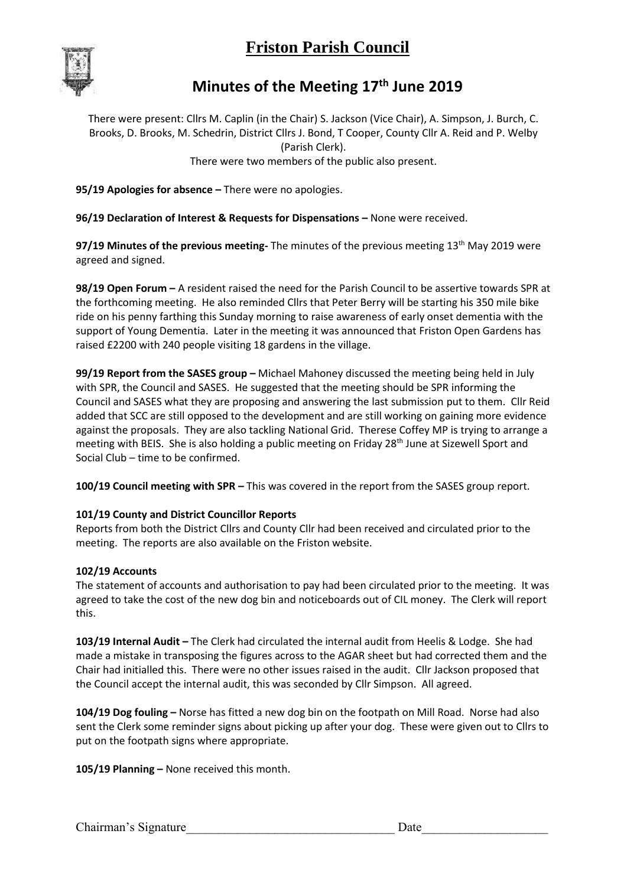# **Friston Parish Council**



### **Minutes of the Meeting 17th June 2019**

There were present: Cllrs M. Caplin (in the Chair) S. Jackson (Vice Chair), A. Simpson, J. Burch, C. Brooks, D. Brooks, M. Schedrin, District Cllrs J. Bond, T Cooper, County Cllr A. Reid and P. Welby (Parish Clerk). There were two members of the public also present.

**95/19 Apologies for absence –** There were no apologies.

**96/19 Declaration of Interest & Requests for Dispensations –** None were received.

97/19 Minutes of the previous meeting- The minutes of the previous meeting 13<sup>th</sup> May 2019 were agreed and signed.

**98/19 Open Forum –** A resident raised the need for the Parish Council to be assertive towards SPR at the forthcoming meeting. He also reminded Cllrs that Peter Berry will be starting his 350 mile bike ride on his penny farthing this Sunday morning to raise awareness of early onset dementia with the support of Young Dementia. Later in the meeting it was announced that Friston Open Gardens has raised £2200 with 240 people visiting 18 gardens in the village.

**99/19 Report from the SASES group –** Michael Mahoney discussed the meeting being held in July with SPR, the Council and SASES. He suggested that the meeting should be SPR informing the Council and SASES what they are proposing and answering the last submission put to them. Cllr Reid added that SCC are still opposed to the development and are still working on gaining more evidence against the proposals. They are also tackling National Grid. Therese Coffey MP is trying to arrange a meeting with BEIS. She is also holding a public meeting on Friday 28th June at Sizewell Sport and Social Club – time to be confirmed.

**100/19 Council meeting with SPR –** This was covered in the report from the SASES group report.

#### **101/19 County and District Councillor Reports**

Reports from both the District Cllrs and County Cllr had been received and circulated prior to the meeting. The reports are also available on the Friston website.

#### **102/19 Accounts**

The statement of accounts and authorisation to pay had been circulated prior to the meeting. It was agreed to take the cost of the new dog bin and noticeboards out of CIL money. The Clerk will report this.

**103/19 Internal Audit –** The Clerk had circulated the internal audit from Heelis & Lodge. She had made a mistake in transposing the figures across to the AGAR sheet but had corrected them and the Chair had initialled this. There were no other issues raised in the audit. Cllr Jackson proposed that the Council accept the internal audit, this was seconded by Cllr Simpson. All agreed.

**104/19 Dog fouling –** Norse has fitted a new dog bin on the footpath on Mill Road. Norse had also sent the Clerk some reminder signs about picking up after your dog. These were given out to Cllrs to put on the footpath signs where appropriate.

**105/19 Planning –** None received this month.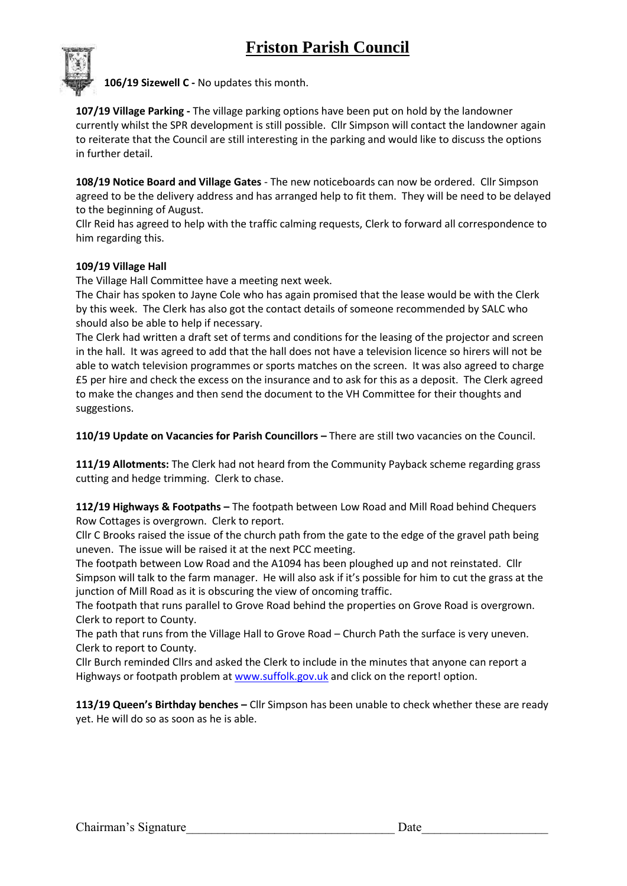

**106/19 Sizewell C -** No updates this month.

**107/19 Village Parking -** The village parking options have been put on hold by the landowner currently whilst the SPR development is still possible. Cllr Simpson will contact the landowner again to reiterate that the Council are still interesting in the parking and would like to discuss the options in further detail.

**108/19 Notice Board and Village Gates** - The new noticeboards can now be ordered. Cllr Simpson agreed to be the delivery address and has arranged help to fit them. They will be need to be delayed to the beginning of August.

Cllr Reid has agreed to help with the traffic calming requests, Clerk to forward all correspondence to him regarding this.

#### **109/19 Village Hall**

The Village Hall Committee have a meeting next week.

The Chair has spoken to Jayne Cole who has again promised that the lease would be with the Clerk by this week. The Clerk has also got the contact details of someone recommended by SALC who should also be able to help if necessary.

The Clerk had written a draft set of terms and conditions for the leasing of the projector and screen in the hall. It was agreed to add that the hall does not have a television licence so hirers will not be able to watch television programmes or sports matches on the screen. It was also agreed to charge £5 per hire and check the excess on the insurance and to ask for this as a deposit. The Clerk agreed to make the changes and then send the document to the VH Committee for their thoughts and suggestions.

**110/19 Update on Vacancies for Parish Councillors –** There are still two vacancies on the Council.

**111/19 Allotments:** The Clerk had not heard from the Community Payback scheme regarding grass cutting and hedge trimming. Clerk to chase.

**112/19 Highways & Footpaths –** The footpath between Low Road and Mill Road behind Chequers Row Cottages is overgrown. Clerk to report.

Cllr C Brooks raised the issue of the church path from the gate to the edge of the gravel path being uneven. The issue will be raised it at the next PCC meeting.

The footpath between Low Road and the A1094 has been ploughed up and not reinstated. Cllr Simpson will talk to the farm manager. He will also ask if it's possible for him to cut the grass at the junction of Mill Road as it is obscuring the view of oncoming traffic.

The footpath that runs parallel to Grove Road behind the properties on Grove Road is overgrown. Clerk to report to County.

The path that runs from the Village Hall to Grove Road – Church Path the surface is very uneven. Clerk to report to County.

Cllr Burch reminded Cllrs and asked the Clerk to include in the minutes that anyone can report a Highways or footpath problem at [www.suffolk.gov.uk](http://www.suffolk.gov.uk/) and click on the report! option.

**113/19 Queen's Birthday benches –** Cllr Simpson has been unable to check whether these are ready yet. He will do so as soon as he is able.